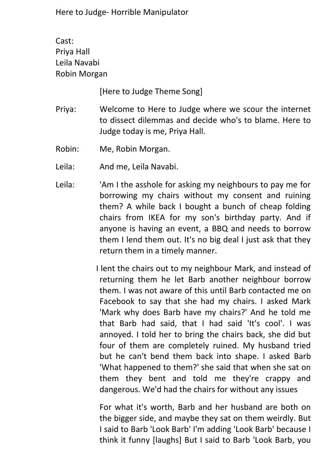Cast: Priya Hall Leila Navabi Robin Morgan

[Here to Judge Theme Song]

- Priya: Welcome to Here to Judge where we scour the internet to dissect dilemmas and decide who's to blame. Here to Judge today is me, Priya Hall.
- Robin: Me, Robin Morgan.
- Leila: And me, Leila Navabi.
- Leila: 'Am I the asshole for asking my neighbours to pay me for borrowing my chairs without my consent and ruining them? A while back I bought a bunch of cheap folding chairs from IKEA for my son's birthday party. And if anyone is having an event, a BBQ and needs to borrow them I lend them out. It's no big deal I just ask that they return them in a timely manner.

I lent the chairs out to my neighbour Mark, and instead of returning them he let Barb another neighbour borrow them. I was not aware of this until Barb contacted me on Facebook to say that she had my chairs. I asked Mark 'Mark why does Barb have my chairs?' And he told me that Barb had said, that I had said 'It's cool'. I was annoyed. I told her to bring the chairs back, she did but four of them are completely ruined. My husband tried but he can't bend them back into shape. I asked Barb 'What happened to them?' she said that when she sat on them they bent and told me they're crappy and dangerous. We'd had the chairs for without any issues

For what it's worth, Barb and her husband are both on the bigger side, and maybe they sat on them weirdly. But I said to Barb 'Look Barb' I'm adding 'Look Barb' because I think it funny [laughs] But I said to Barb 'Look Barb, you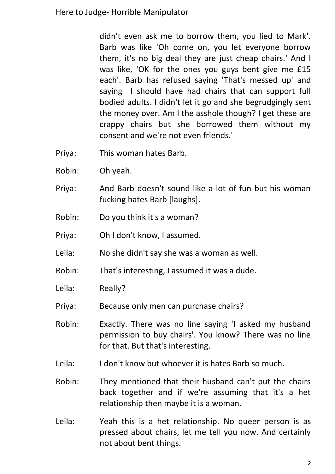didn't even ask me to borrow them, you lied to Mark'. Barb was like 'Oh come on, you let everyone borrow them, it's no big deal they are just cheap chairs.' And I was like, 'OK for the ones you guys bent give me £15 each'. Barb has refused saying 'That's messed up' and saying I should have had chairs that can support full bodied adults. I didn't let it go and she begrudgingly sent the money over. Am I the asshole though? I get these are crappy chairs but she borrowed them without my consent and we're not even friends.'

- Priya: This woman hates Barb.
- Robin: Oh yeah.
- Priya: And Barb doesn't sound like a lot of fun but his woman fucking hates Barb [laughs].
- Robin: Do you think it's a woman?
- Priya: Oh I don't know, I assumed.
- Leila: No she didn't say she was a woman as well.
- Robin: That's interesting, I assumed it was a dude.
- Leila: Really?
- Priya: Because only men can purchase chairs?
- Robin: Exactly. There was no line saying 'I asked my husband permission to buy chairs'. You know? There was no line for that. But that's interesting.
- Leila: I don't know but whoever it is hates Barb so much.
- Robin: They mentioned that their husband can't put the chairs back together and if we're assuming that it's a het relationship then maybe it is a woman.
- Leila: Yeah this is a het relationship. No queer person is as pressed about chairs, let me tell you now. And certainly not about bent things.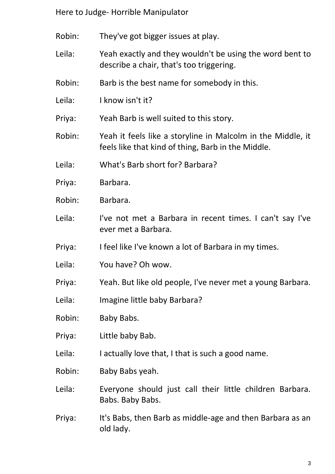Robin: They've got bigger issues at play.

- Leila: Yeah exactly and they wouldn't be using the word bent to describe a chair, that's too triggering.
- Robin: Barb is the best name for somebody in this.
- Leila: I know isn't it?
- Priya: Yeah Barb is well suited to this story.
- Robin: Yeah it feels like a storyline in Malcolm in the Middle, it feels like that kind of thing, Barb in the Middle.
- Leila: What's Barb short for? Barbara?
- Priya: Barbara.
- Robin: Barbara.
- Leila: I've not met a Barbara in recent times. I can't say I've ever met a Barbara.
- Priya: I feel like I've known a lot of Barbara in my times.
- Leila: You have? Oh wow.
- Priya: Yeah. But like old people, I've never met a young Barbara.
- Leila: Imagine little baby Barbara?
- Robin: Baby Babs.
- Priya: Little baby Bab.
- Leila: I actually love that, I that is such a good name.
- Robin: Baby Babs yeah.
- Leila: Everyone should just call their little children Barbara. Babs. Baby Babs.
- Priya: It's Babs, then Barb as middle-age and then Barbara as an old lady.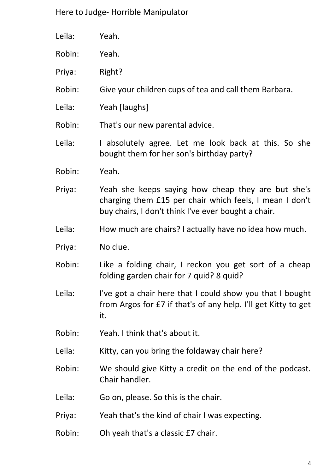| Leila: | Yeah.                                                 |
|--------|-------------------------------------------------------|
| Robin: | Yeah.                                                 |
| Priya: | Right?                                                |
| Robin: | Give your children cups of tea and call them Barbara. |
| Leila: | Yeah [laughs]                                         |
| Robin: | That's our new parental advice.                       |

Leila: I absolutely agree. Let me look back at this. So she bought them for her son's birthday party?

- Robin: Yeah.
- Priya: Yeah she keeps saying how cheap they are but she's charging them £15 per chair which feels, I mean I don't buy chairs, I don't think I've ever bought a chair.
- Leila: How much are chairs? I actually have no idea how much.
- Priya: No clue.
- Robin: Like a folding chair, I reckon you get sort of a cheap folding garden chair for 7 quid? 8 quid?
- Leila: I've got a chair here that I could show you that I bought from Argos for £7 if that's of any help. I'll get Kitty to get it.
- Robin: Yeah. I think that's about it.
- Leila: Kitty, can you bring the foldaway chair here?

Robin: We should give Kitty a credit on the end of the podcast. Chair handler.

- Leila: Go on, please. So this is the chair.
- Priya: Yeah that's the kind of chair I was expecting.
- Robin: Oh yeah that's a classic £7 chair.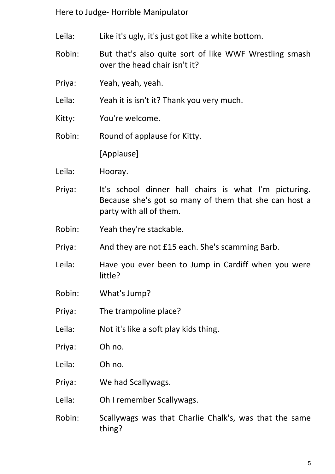- Leila: Like it's ugly, it's just got like a white bottom.
- Robin: But that's also quite sort of like WWF Wrestling smash over the head chair isn't it?
- Priya: Yeah, yeah, yeah.
- Leila: Yeah it is isn't it? Thank you very much.
- Kitty: You're welcome.

Robin: Round of applause for Kitty.

[Applause]

- Leila: Hooray.
- Priya: It's school dinner hall chairs is what I'm picturing. Because she's got so many of them that she can host a party with all of them.
- Robin: Yeah they're stackable.
- Priya: And they are not £15 each. She's scamming Barb.
- Leila: Have you ever been to Jump in Cardiff when you were little?
- Robin: What's Jump?
- Priya: The trampoline place?
- Leila: Not it's like a soft play kids thing.
- Priya: Oh no.
- Leila: Oh no.
- Priya: We had Scallywags.
- Leila: Oh I remember Scallywags.
- Robin: Scallywags was that Charlie Chalk's, was that the same thing?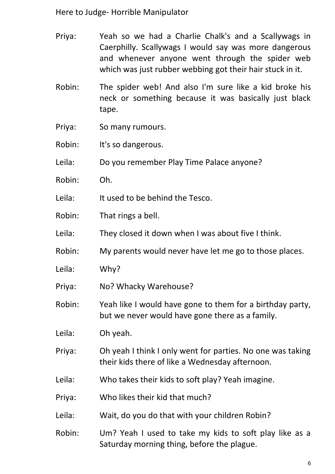- Priya: Yeah so we had a Charlie Chalk's and a Scallywags in Caerphilly. Scallywags I would say was more dangerous and whenever anyone went through the spider web which was just rubber webbing got their hair stuck in it.
- Robin: The spider web! And also I'm sure like a kid broke his neck or something because it was basically just black tape.
- Priya: So many rumours.
- Robin: It's so dangerous.
- Leila: Do you remember Play Time Palace anyone?
- Robin: Oh.
- Leila: It used to be behind the Tesco.
- Robin: That rings a bell.
- Leila: They closed it down when I was about five I think.
- Robin: My parents would never have let me go to those places.
- Leila: Why?
- Priya: No? Whacky Warehouse?
- Robin: Yeah like I would have gone to them for a birthday party, but we never would have gone there as a family.
- Leila: Oh yeah.
- Priya: Oh yeah I think I only went for parties. No one was taking their kids there of like a Wednesday afternoon.
- Leila: Who takes their kids to soft play? Yeah imagine.
- Priya: Who likes their kid that much?
- Leila: Wait, do you do that with your children Robin?
- Robin: Um? Yeah I used to take my kids to soft play like as a Saturday morning thing, before the plague.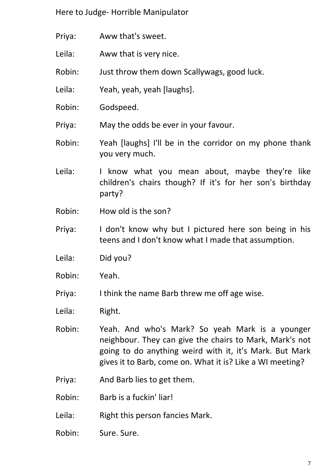- Priya: Aww that's sweet.
- Leila: Aww that is very nice.
- Robin: Just throw them down Scallywags, good luck.
- Leila: Yeah, yeah, yeah [laughs].
- Robin: Godspeed.

Priya: May the odds be ever in your favour.

- Robin: Yeah [laughs] I'll be in the corridor on my phone thank you very much.
- Leila: I know what you mean about, maybe they're like children's chairs though? If it's for her son's birthday party?
- Robin: How old is the son?
- Priya: I don't know why but I pictured here son being in his teens and I don't know what I made that assumption.
- Leila: Did you?
- Robin: Yeah.
- Priya: I think the name Barb threw me off age wise.
- Leila: Right.
- Robin: Yeah. And who's Mark? So yeah Mark is a younger neighbour. They can give the chairs to Mark, Mark's not going to do anything weird with it, it's Mark. But Mark gives it to Barb, come on. What it is? Like a WI meeting?
- Priya: And Barb lies to get them.
- Robin: Barb is a fuckin' liar!
- Leila: Right this person fancies Mark.
- Robin: Sure. Sure.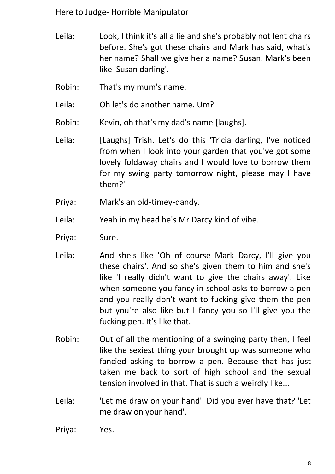- Leila: Look, I think it's all a lie and she's probably not lent chairs before. She's got these chairs and Mark has said, what's her name? Shall we give her a name? Susan. Mark's been like 'Susan darling'.
- Robin: That's my mum's name.

Leila: Oh let's do another name. Um?

- Robin: Kevin, oh that's my dad's name [laughs].
- Leila: [Laughs] Trish. Let's do this 'Tricia darling, I've noticed from when I look into your garden that you've got some lovely foldaway chairs and I would love to borrow them for my swing party tomorrow night, please may I have them?'
- Priya: Mark's an old-timey-dandy.
- Leila: Yeah in my head he's Mr Darcy kind of vibe.
- Priya: Sure.
- Leila: And she's like 'Oh of course Mark Darcy, I'll give you these chairs'. And so she's given them to him and she's like 'I really didn't want to give the chairs away'. Like when someone you fancy in school asks to borrow a pen and you really don't want to fucking give them the pen but you're also like but I fancy you so I'll give you the fucking pen. It's like that.
- Robin: Out of all the mentioning of a swinging party then, I feel like the sexiest thing your brought up was someone who fancied asking to borrow a pen. Because that has just taken me back to sort of high school and the sexual tension involved in that. That is such a weirdly like...
- Leila: 'Let me draw on your hand'. Did you ever have that? 'Let me draw on your hand'.
- Priya: Yes.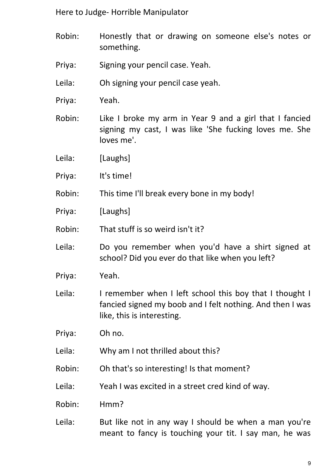- Robin: Honestly that or drawing on someone else's notes or something.
- Priya: Signing your pencil case. Yeah.
- Leila: Oh signing your pencil case yeah.
- Priya: Yeah.
- Robin: Like I broke my arm in Year 9 and a girl that I fancied signing my cast, I was like 'She fucking loves me. She loves me'.
- Leila: [Laughs]
- Priya: It's time!
- Robin: This time I'll break every bone in my body!
- Priya: [Laughs]
- Robin: That stuff is so weird isn't it?
- Leila: Do you remember when you'd have a shirt signed at school? Did you ever do that like when you left?
- Priya: Yeah.
- Leila: I remember when I left school this boy that I thought I fancied signed my boob and I felt nothing. And then I was like, this is interesting.
- Priya: Oh no.
- Leila: Why am I not thrilled about this?
- Robin: Oh that's so interesting! Is that moment?
- Leila: Yeah I was excited in a street cred kind of way.
- Robin: Hmm?
- Leila: But like not in any way I should be when a man you're meant to fancy is touching your tit. I say man, he was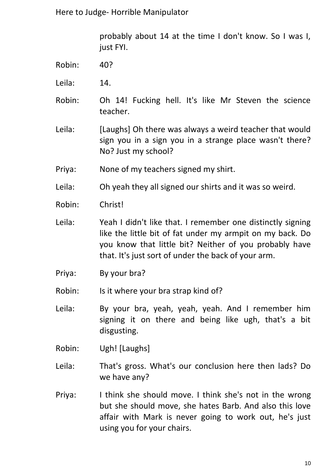probably about 14 at the time I don't know. So I was I, just FYI.

- Robin: 40?
- Leila: 14.
- Robin: Oh 14! Fucking hell. It's like Mr Steven the science teacher.
- Leila: [Laughs] Oh there was always a weird teacher that would sign you in a sign you in a strange place wasn't there? No? Just my school?
- Priya: None of my teachers signed my shirt.
- Leila: Oh yeah they all signed our shirts and it was so weird.
- Robin: Christ!
- Leila: Yeah I didn't like that. I remember one distinctly signing like the little bit of fat under my armpit on my back. Do you know that little bit? Neither of you probably have that. It's just sort of under the back of your arm.
- Priya: By your bra?
- Robin: Is it where your bra strap kind of?
- Leila: By your bra, yeah, yeah, yeah. And I remember him signing it on there and being like ugh, that's a bit disgusting.
- Robin: Ugh! [Laughs]
- Leila: That's gross. What's our conclusion here then lads? Do we have any?
- Priya: I think she should move. I think she's not in the wrong but she should move, she hates Barb. And also this love affair with Mark is never going to work out, he's just using you for your chairs.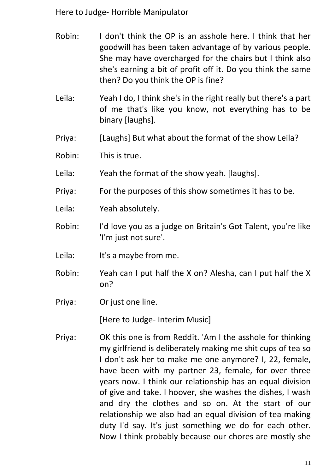- Robin: I don't think the OP is an asshole here. I think that her goodwill has been taken advantage of by various people. She may have overcharged for the chairs but I think also she's earning a bit of profit off it. Do you think the same then? Do you think the OP is fine?
- Leila: Yeah I do, I think she's in the right really but there's a part of me that's like you know, not everything has to be binary [laughs].
- Priya: [Laughs] But what about the format of the show Leila?
- Robin: This is true.
- Leila: Yeah the format of the show yeah. [laughs].
- Priya: For the purposes of this show sometimes it has to be.
- Leila: Yeah absolutely.
- Robin: I'd love you as a judge on Britain's Got Talent, you're like 'I'm just not sure'.
- Leila: It's a maybe from me.
- Robin: Yeah can I put half the X on? Alesha, can I put half the X on?
- Priya: Or just one line.

[Here to Judge- Interim Music]

Priya: OK this one is from Reddit. 'Am I the asshole for thinking my girlfriend is deliberately making me shit cups of tea so I don't ask her to make me one anymore? I, 22, female, have been with my partner 23, female, for over three years now. I think our relationship has an equal division of give and take. I hoover, she washes the dishes, I wash and dry the clothes and so on. At the start of our relationship we also had an equal division of tea making duty I'd say. It's just something we do for each other. Now I think probably because our chores are mostly she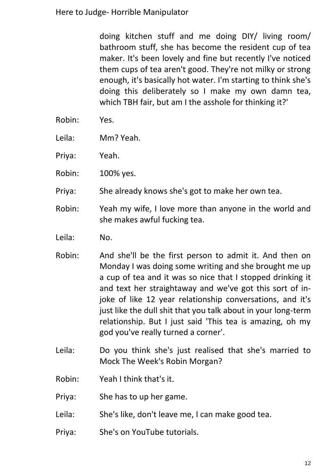doing kitchen stuff and me doing DIY/ living room/ bathroom stuff, she has become the resident cup of tea maker. It's been lovely and fine but recently I've noticed them cups of tea aren't good. They're not milky or strong enough, it's basically hot water. I'm starting to think she's doing this deliberately so I make my own damn tea, which TBH fair, but am I the asshole for thinking it?'

- Robin: Yes.
- Leila: Mm? Yeah.
- Priya: Yeah.
- Robin: 100% yes.
- Priya: She already knows she's got to make her own tea.
- Robin: Yeah my wife, I love more than anyone in the world and she makes awful fucking tea.
- Leila: No.
- Robin: And she'll be the first person to admit it. And then on Monday I was doing some writing and she brought me up a cup of tea and it was so nice that I stopped drinking it and text her straightaway and we've got this sort of injoke of like 12 year relationship conversations, and it's just like the dull shit that you talk about in your long-term relationship. But I just said 'This tea is amazing, oh my god you've really turned a corner'.
- Leila: Do you think she's just realised that she's married to Mock The Week's Robin Morgan?
- Robin: Yeah I think that's it.
- Priya: She has to up her game.
- Leila: She's like, don't leave me, I can make good tea.
- Priya: She's on YouTube tutorials.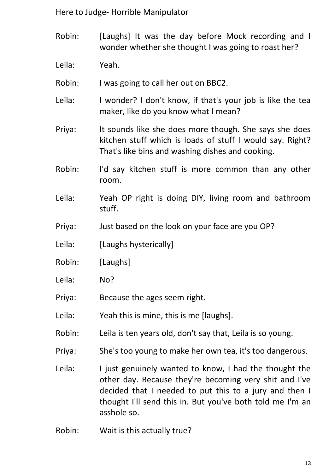Robin: [Laughs] It was the day before Mock recording and I wonder whether she thought I was going to roast her?

Leila: Yeah.

Robin: I was going to call her out on BBC2.

- Leila: I wonder? I don't know, if that's your job is like the tea maker, like do you know what I mean?
- Priya: It sounds like she does more though. She says she does kitchen stuff which is loads of stuff I would say. Right? That's like bins and washing dishes and cooking.
- Robin: I'd say kitchen stuff is more common than any other room.
- Leila: Yeah OP right is doing DIY, living room and bathroom stuff.
- Priya: Just based on the look on your face are you OP?
- Leila: [Laughs hysterically]
- Robin: [Laughs]
- Leila: No?
- Priya: Because the ages seem right.
- Leila: Yeah this is mine, this is me [laughs].
- Robin: Leila is ten years old, don't say that, Leila is so young.
- Priya: She's too young to make her own tea, it's too dangerous.
- Leila: I just genuinely wanted to know, I had the thought the other day. Because they're becoming very shit and I've decided that I needed to put this to a jury and then I thought I'll send this in. But you've both told me I'm an asshole so.
- Robin: Wait is this actually true?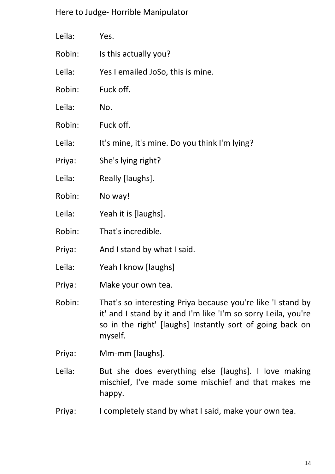| Leila: | Yes.                                                                                                                                                                                       |
|--------|--------------------------------------------------------------------------------------------------------------------------------------------------------------------------------------------|
| Robin: | Is this actually you?                                                                                                                                                                      |
| Leila: | Yes I emailed JoSo, this is mine.                                                                                                                                                          |
| Robin: | Fuck off.                                                                                                                                                                                  |
| Leila: | No.                                                                                                                                                                                        |
| Robin: | Fuck off.                                                                                                                                                                                  |
| Leila: | It's mine, it's mine. Do you think I'm lying?                                                                                                                                              |
| Priya: | She's lying right?                                                                                                                                                                         |
| Leila: | Really [laughs].                                                                                                                                                                           |
| Robin: | No way!                                                                                                                                                                                    |
| Leila: | Yeah it is [laughs].                                                                                                                                                                       |
| Robin: | That's incredible.                                                                                                                                                                         |
| Priya: | And I stand by what I said.                                                                                                                                                                |
| Leila: | Yeah I know [laughs]                                                                                                                                                                       |
| Priya: | Make your own tea.                                                                                                                                                                         |
| Robin: | That's so interesting Priya because you're like 'I stand by<br>it' and I stand by it and I'm like 'I'm so sorry Leila, you're<br>so in the right' [laughs] Instantly sort of going back on |

Priya: Mm-mm [laughs].

myself.

- Leila: But she does everything else [laughs]. I love making mischief, I've made some mischief and that makes me happy.
- Priya: I completely stand by what I said, make your own tea.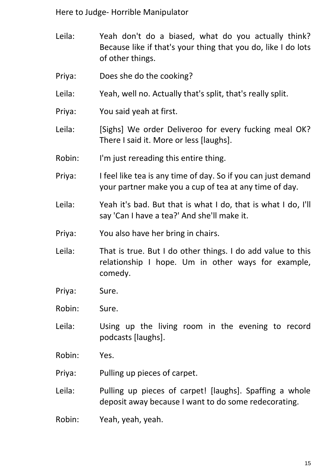- Leila: Yeah don't do a biased, what do you actually think? Because like if that's your thing that you do, like I do lots of other things.
- Priya: Does she do the cooking?
- Leila: Yeah, well no. Actually that's split, that's really split.
- Priya: You said yeah at first.
- Leila: [Sighs] We order Deliveroo for every fucking meal OK? There I said it. More or less [laughs].
- Robin: I'm just rereading this entire thing.
- Priya: I feel like tea is any time of day. So if you can just demand your partner make you a cup of tea at any time of day.
- Leila: Yeah it's bad. But that is what I do, that is what I do, I'll say 'Can I have a tea?' And she'll make it.
- Priya: You also have her bring in chairs.
- Leila: That is true. But I do other things. I do add value to this relationship I hope. Um in other ways for example, comedy.
- Priya: Sure.
- Robin: Sure.
- Leila: Using up the living room in the evening to record podcasts [laughs].
- Robin: Yes.
- Priya: Pulling up pieces of carpet.
- Leila: Pulling up pieces of carpet! [laughs]. Spaffing a whole deposit away because I want to do some redecorating.
- Robin: Yeah, yeah, yeah.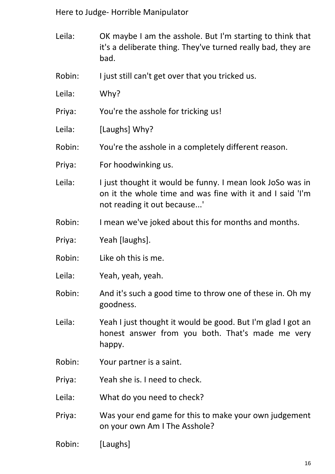- Leila: OK maybe I am the asshole. But I'm starting to think that it's a deliberate thing. They've turned really bad, they are bad.
- Robin: I just still can't get over that you tricked us.
- Leila: Why?
- Priya: You're the asshole for tricking us!
- Leila: [Laughs] Why?
- Robin: You're the asshole in a completely different reason.
- Priya: For hoodwinking us.
- Leila: I just thought it would be funny. I mean look JoSo was in on it the whole time and was fine with it and I said 'I'm not reading it out because...'
- Robin: I mean we've joked about this for months and months.
- Priya: Yeah [laughs].
- Robin: Like oh this is me.
- Leila: Yeah, yeah, yeah.
- Robin: And it's such a good time to throw one of these in. Oh my goodness.
- Leila: Yeah I just thought it would be good. But I'm glad I got an honest answer from you both. That's made me very happy.
- Robin: Your partner is a saint.
- Priya: Yeah she is. I need to check.
- Leila: What do you need to check?
- Priya: Was your end game for this to make your own judgement on your own Am I The Asshole?
- Robin: [Laughs]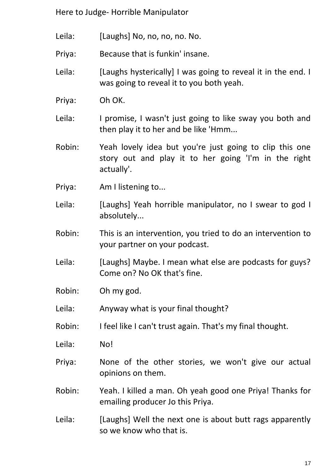- Leila: [Laughs] No, no, no, no. No.
- Priya: Because that is funkin' insane.
- Leila: [Laughs hysterically] I was going to reveal it in the end. I was going to reveal it to you both yeah.
- Priya: Oh OK.
- Leila: I promise, I wasn't just going to like sway you both and then play it to her and be like 'Hmm...
- Robin: Yeah lovely idea but you're just going to clip this one story out and play it to her going 'I'm in the right actually'.
- Priya: Am I listening to...
- Leila: [Laughs] Yeah horrible manipulator, no I swear to god I absolutely...
- Robin: This is an intervention, you tried to do an intervention to your partner on your podcast.
- Leila: [Laughs] Maybe. I mean what else are podcasts for guys? Come on? No OK that's fine.
- Robin: Oh my god.
- Leila: Anyway what is your final thought?
- Robin: I feel like I can't trust again. That's my final thought.
- Leila: No!
- Priya: None of the other stories, we won't give our actual opinions on them.
- Robin: Yeah. I killed a man. Oh yeah good one Priya! Thanks for emailing producer Jo this Priya.
- Leila: [Laughs] Well the next one is about butt rags apparently so we know who that is.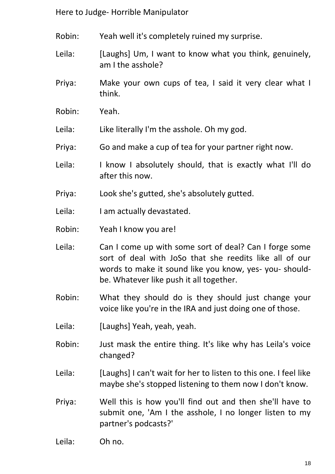- Robin: Yeah well it's completely ruined my surprise.
- Leila: [Laughs] Um, I want to know what you think, genuinely, am I the asshole?
- Priya: Make your own cups of tea, I said it very clear what I think.
- Robin: Yeah.
- Leila: Like literally I'm the asshole. Oh my god.
- Priya: Go and make a cup of tea for your partner right now.
- Leila: I know I absolutely should, that is exactly what I'll do after this now.
- Priya: Look she's gutted, she's absolutely gutted.
- Leila: I am actually devastated.
- Robin: Yeah I know you are!
- Leila: Can I come up with some sort of deal? Can I forge some sort of deal with JoSo that she reedits like all of our words to make it sound like you know, yes- you- shouldbe. Whatever like push it all together.
- Robin: What they should do is they should just change your voice like you're in the IRA and just doing one of those.
- Leila: [Laughs] Yeah, yeah, yeah.
- Robin: Just mask the entire thing. It's like why has Leila's voice changed?
- Leila: [Laughs] I can't wait for her to listen to this one. I feel like maybe she's stopped listening to them now I don't know.
- Priya: Well this is how you'll find out and then she'll have to submit one, 'Am I the asshole, I no longer listen to my partner's podcasts?'
- Leila: Oh no.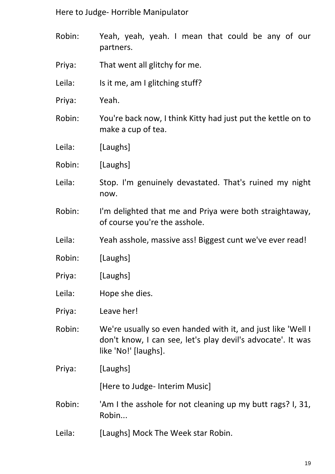- Robin: Yeah, yeah, yeah. I mean that could be any of our partners.
- Priya: That went all glitchy for me.
- Leila: Is it me, am I glitching stuff?
- Priya: Yeah.
- Robin: You're back now, I think Kitty had just put the kettle on to make a cup of tea.
- Leila: [Laughs]
- Robin: [Laughs]
- Leila: Stop. I'm genuinely devastated. That's ruined my night now.
- Robin: I'm delighted that me and Priya were both straightaway, of course you're the asshole.
- Leila: Yeah asshole, massive ass! Biggest cunt we've ever read!
- Robin: [Laughs]
- Priya: [Laughs]
- Leila: Hope she dies.
- Priya: Leave her!
- Robin: We're usually so even handed with it, and just like 'Well I don't know, I can see, let's play devil's advocate'. It was like 'No!' [laughs].
- Priya: [Laughs]

[Here to Judge- Interim Music]

- Robin: 'Am I the asshole for not cleaning up my butt rags? I, 31, Robin...
- Leila: [Laughs] Mock The Week star Robin.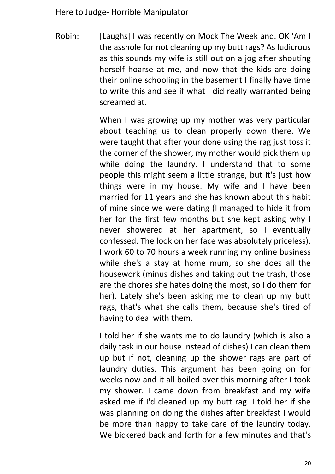Robin: [Laughs] I was recently on Mock The Week and. OK 'Am I the asshole for not cleaning up my butt rags? As ludicrous as this sounds my wife is still out on a jog after shouting herself hoarse at me, and now that the kids are doing their online schooling in the basement I finally have time to write this and see if what I did really warranted being screamed at.

> When I was growing up my mother was very particular about teaching us to clean properly down there. We were taught that after your done using the rag just toss it the corner of the shower, my mother would pick them up while doing the laundry. I understand that to some people this might seem a little strange, but it's just how things were in my house. My wife and I have been married for 11 years and she has known about this habit of mine since we were dating (I managed to hide it from her for the first few months but she kept asking why I never showered at her apartment, so I eventually confessed. The look on her face was absolutely priceless). I work 60 to 70 hours a week running my online business while she's a stay at home mum, so she does all the housework (minus dishes and taking out the trash, those are the chores she hates doing the most, so I do them for her). Lately she's been asking me to clean up my butt rags, that's what she calls them, because she's tired of having to deal with them.

> I told her if she wants me to do laundry (which is also a daily task in our house instead of dishes) I can clean them up but if not, cleaning up the shower rags are part of laundry duties. This argument has been going on for weeks now and it all boiled over this morning after I took my shower. I came down from breakfast and my wife asked me if I'd cleaned up my butt rag. I told her if she was planning on doing the dishes after breakfast I would be more than happy to take care of the laundry today. We bickered back and forth for a few minutes and that's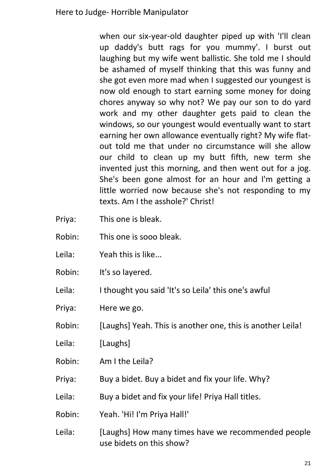when our six-year-old daughter piped up with 'I'll clean up daddy's butt rags for you mummy'. I burst out laughing but my wife went ballistic. She told me I should be ashamed of myself thinking that this was funny and she got even more mad when I suggested our youngest is now old enough to start earning some money for doing chores anyway so why not? We pay our son to do yard work and my other daughter gets paid to clean the windows, so our youngest would eventually want to start earning her own allowance eventually right? My wife flatout told me that under no circumstance will she allow our child to clean up my butt fifth, new term she invented just this morning, and then went out for a jog. She's been gone almost for an hour and I'm getting a little worried now because she's not responding to my texts. Am I the asshole?' Christ!

- Priya: This one is bleak.
- Robin: This one is sooo bleak.
- Leila: Yeah this is like...
- Robin: It's so layered.
- Leila: I thought you said 'It's so Leila' this one's awful
- Priya: Here we go.
- Robin: [Laughs] Yeah. This is another one, this is another Leila!
- Leila: [Laughs]
- Robin: Am I the Leila?
- Priya: Buy a bidet. Buy a bidet and fix your life. Why?
- Leila: Buy a bidet and fix your life! Priya Hall titles.
- Robin: Yeah. 'Hi! I'm Priya Hall!'
- Leila: [Laughs] How many times have we recommended people use bidets on this show?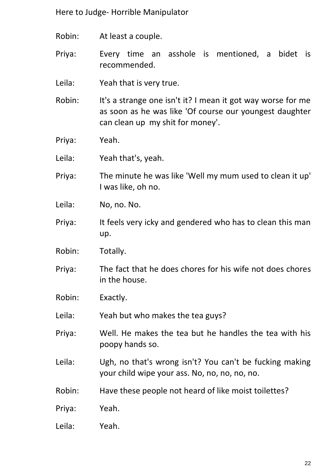- Robin: At least a couple.
- Priya: Every time an asshole is mentioned, a bidet is recommended.
- Leila: Yeah that is very true.
- Robin: It's a strange one isn't it? I mean it got way worse for me as soon as he was like 'Of course our youngest daughter can clean up my shit for money'.
- Priya: Yeah.
- Leila: Yeah that's, yeah.
- Priya: The minute he was like 'Well my mum used to clean it up' I was like, oh no.
- Leila: No, no. No.
- Priya: It feels very icky and gendered who has to clean this man up.
- Robin: Totally.
- Priya: The fact that he does chores for his wife not does chores in the house.
- Robin: Exactly.
- Leila: Yeah but who makes the tea guys?
- Priya: Well. He makes the tea but he handles the tea with his poopy hands so.
- Leila: Ugh, no that's wrong isn't? You can't be fucking making your child wipe your ass. No, no, no, no, no.
- Robin: Have these people not heard of like moist toilettes?
- Priya: Yeah.
- Leila: Yeah.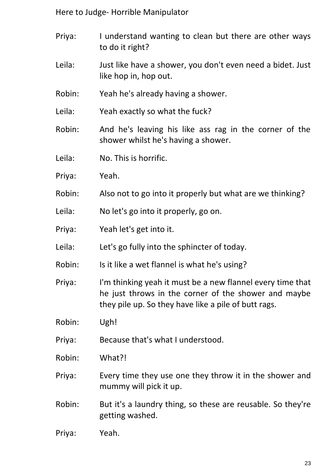- Priya: I understand wanting to clean but there are other ways to do it right?
- Leila: Just like have a shower, you don't even need a bidet. Just like hop in, hop out.
- Robin: Yeah he's already having a shower.
- Leila: Yeah exactly so what the fuck?
- Robin: And he's leaving his like ass rag in the corner of the shower whilst he's having a shower.
- Leila: No. This is horrific.
- Priya: Yeah.
- Robin: Also not to go into it properly but what are we thinking?
- Leila: No let's go into it properly, go on.
- Priya: Yeah let's get into it.
- Leila: Let's go fully into the sphincter of today.
- Robin: Is it like a wet flannel is what he's using?
- Priya: I'm thinking yeah it must be a new flannel every time that he just throws in the corner of the shower and maybe they pile up. So they have like a pile of butt rags.
- Robin: Ugh!
- Priya: Because that's what I understood.
- Robin: What?!
- Priya: Every time they use one they throw it in the shower and mummy will pick it up.
- Robin: But it's a laundry thing, so these are reusable. So they're getting washed.
- Priya: Yeah.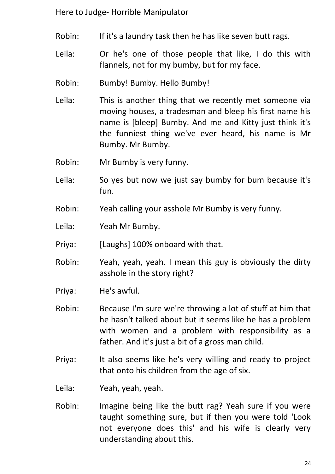- Robin: If it's a laundry task then he has like seven butt rags.
- Leila: Or he's one of those people that like, I do this with flannels, not for my bumby, but for my face.
- Robin: Bumby! Bumby. Hello Bumby!
- Leila: This is another thing that we recently met someone via moving houses, a tradesman and bleep his first name his name is [bleep] Bumby. And me and Kitty just think it's the funniest thing we've ever heard, his name is Mr Bumby. Mr Bumby.
- Robin: Mr Bumby is very funny.
- Leila: So yes but now we just say bumby for bum because it's fun.
- Robin: Yeah calling your asshole Mr Bumby is very funny.
- Leila: Yeah Mr Bumby.
- Priya: [Laughs] 100% onboard with that.
- Robin: Yeah, yeah, yeah. I mean this guy is obviously the dirty asshole in the story right?
- Priya: He's awful.
- Robin: Because I'm sure we're throwing a lot of stuff at him that he hasn't talked about but it seems like he has a problem with women and a problem with responsibility as a father. And it's just a bit of a gross man child.
- Priya: It also seems like he's very willing and ready to project that onto his children from the age of six.

Leila: Yeah, yeah, yeah.

Robin: Imagine being like the butt rag? Yeah sure if you were taught something sure, but if then you were told 'Look not everyone does this' and his wife is clearly very understanding about this.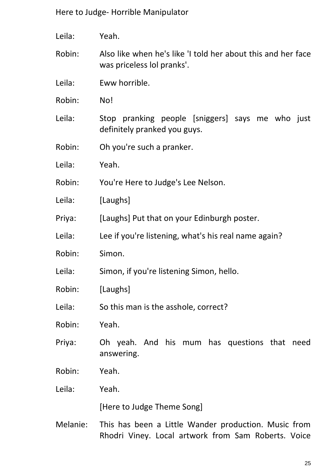- Leila: Yeah.
- Robin: Also like when he's like 'I told her about this and her face was priceless lol pranks'.
- Leila: Eww horrible.
- Robin: No!
- Leila: Stop pranking people [sniggers] says me who just definitely pranked you guys.
- Robin: Oh you're such a pranker.
- Leila: Yeah.
- Robin: You're Here to Judge's Lee Nelson.
- Leila: [Laughs]
- Priya: [Laughs] Put that on your Edinburgh poster.
- Leila: Lee if you're listening, what's his real name again?
- Robin: Simon.
- Leila: Simon, if you're listening Simon, hello.
- Robin: [Laughs]
- Leila: So this man is the asshole, correct?
- Robin: Yeah.
- Priya: Oh yeah. And his mum has questions that need answering.
- Robin: Yeah.
- Leila: Yeah.

[Here to Judge Theme Song]

Melanie: This has been a Little Wander production. Music from Rhodri Viney. Local artwork from Sam Roberts. Voice